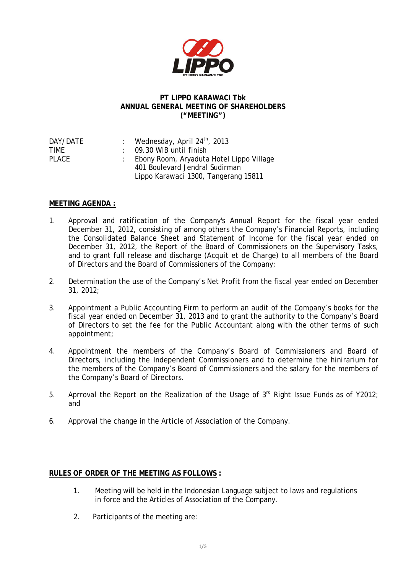

## **PT LIPPO KARAWACI Tbk ANNUAL GENERAL MEETING OF SHAREHOLDERS ("MEETING")**

| DAY/DATE     | : Wednesday, April $24^{\text{th}}$ , 2013 |
|--------------|--------------------------------------------|
| TIMF         | $\therefore$ 09.30 WIB until finish        |
| <b>PLACE</b> | : Ebony Room, Aryaduta Hotel Lippo Village |
|              | 401 Boulevard Jendral Sudirman             |
|              | Lippo Karawaci 1300, Tangerang 15811       |
|              |                                            |

## **MEETING AGENDA :**

- 1. Approval and ratification of the Company's Annual Report for the fiscal year ended December 31, 2012, consisting of among others the Company's Financial Reports, including the Consolidated Balance Sheet and Statement of Income for the fiscal year ended on December 31, 2012, the Report of the Board of Commissioners on the Supervisory Tasks, and to grant full release and discharge (*Acquit et de Charge*) to all members of the Board of Directors and the Board of Commissioners of the Company;
- 2. Determination the use of the Company's Net Profit from the fiscal year ended on December 31, 2012;
- 3. Appointment a Public Accounting Firm to perform an audit of the Company's books for the fiscal year ended on December 31, 2013 and to grant the authority to the Company's Board of Directors to set the fee for the Public Accountant along with the other terms of such appointment;
- 4. Appointment the members of the Company's Board of Commissioners and Board of Directors, including the Independent Commissioners and to determine the hinirarium for the members of the Company's Board of Commissioners and the salary for the members of the Company's Board of Directors.
- 5. Aprroval the Report on the Realization of the Usage of  $3<sup>rd</sup>$  Right Issue Funds as of Y2012; and
- 6. Approval the change in the Article of Association of the Company.

## **RULES OF ORDER OF THE MEETING AS FOLLOWS :**

- 1. Meeting will be held in the Indonesian Language subject to laws and regulations in force and the Articles of Association of the Company.
- 2. Participants of the meeting are: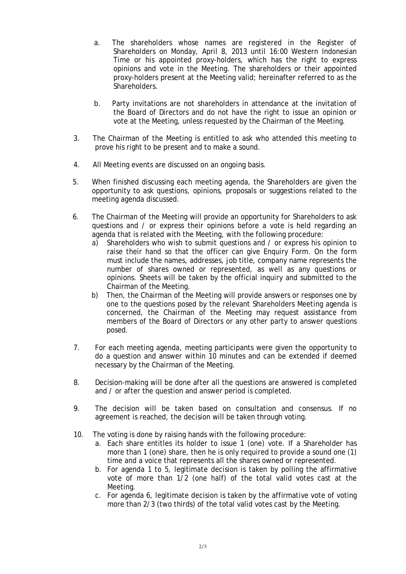- a. The shareholders whose names are registered in the Register of Shareholders on Monday, April 8, 2013 until 16:00 Western Indonesian Time or his appointed proxy-holders, which has the right to express opinions and vote in the Meeting. The shareholders or their appointed proxy-holders present at the Meeting valid; hereinafter referred to as the Shareholders.
- b. Party invitations are not shareholders in attendance at the invitation of the Board of Directors and do not have the right to issue an opinion or vote at the Meeting, unless requested by the Chairman of the Meeting.
- 3. The Chairman of the Meeting is entitled to ask who attended this meeting to prove his right to be present and to make a sound.
- 4. All Meeting events are discussed on an ongoing basis.
- 5. When finished discussing each meeting agenda, the Shareholders are given the opportunity to ask questions, opinions, proposals or suggestions related to the meeting agenda discussed.
- 6. The Chairman of the Meeting will provide an opportunity for Shareholders to ask questions and / or express their opinions before a vote is held regarding an agenda that is related with the Meeting, with the following procedure:
	- a) Shareholders who wish to submit questions and / or express his opinion to raise their hand so that the officer can give Enquiry Form. On the form must include the names, addresses, job title, company name represents the number of shares owned or represented, as well as any questions or opinions. Sheets will be taken by the official inquiry and submitted to the Chairman of the Meeting.
	- b) Then, the Chairman of the Meeting will provide answers or responses one by one to the questions posed by the relevant Shareholders Meeting agenda is concerned, the Chairman of the Meeting may request assistance from members of the Board of Directors or any other party to answer questions posed.
- 7. For each meeting agenda, meeting participants were given the opportunity to do a question and answer within 10 minutes and can be extended if deemed necessary by the Chairman of the Meeting.
- 8. Decision-making will be done after all the questions are answered is completed and / or after the question and answer period is completed.
- 9. The decision will be taken based on consultation and consensus. If no agreement is reached, the decision will be taken through voting.
- 10. The voting is done by raising hands with the following procedure:
	- a. Each share entitles its holder to issue 1 (one) vote. If a Shareholder has more than 1 (one) share, then he is only required to provide a sound one (1) time and a voice that represents all the shares owned or represented.
	- b. For agenda 1 to 5, legitimate decision is taken by polling the affirmative vote of more than 1/2 (one half) of the total valid votes cast at the Meeting.
	- c. For agenda 6, legitimate decision is taken by the affirmative vote of voting more than 2/3 (two thirds) of the total valid votes cast by the Meeting.